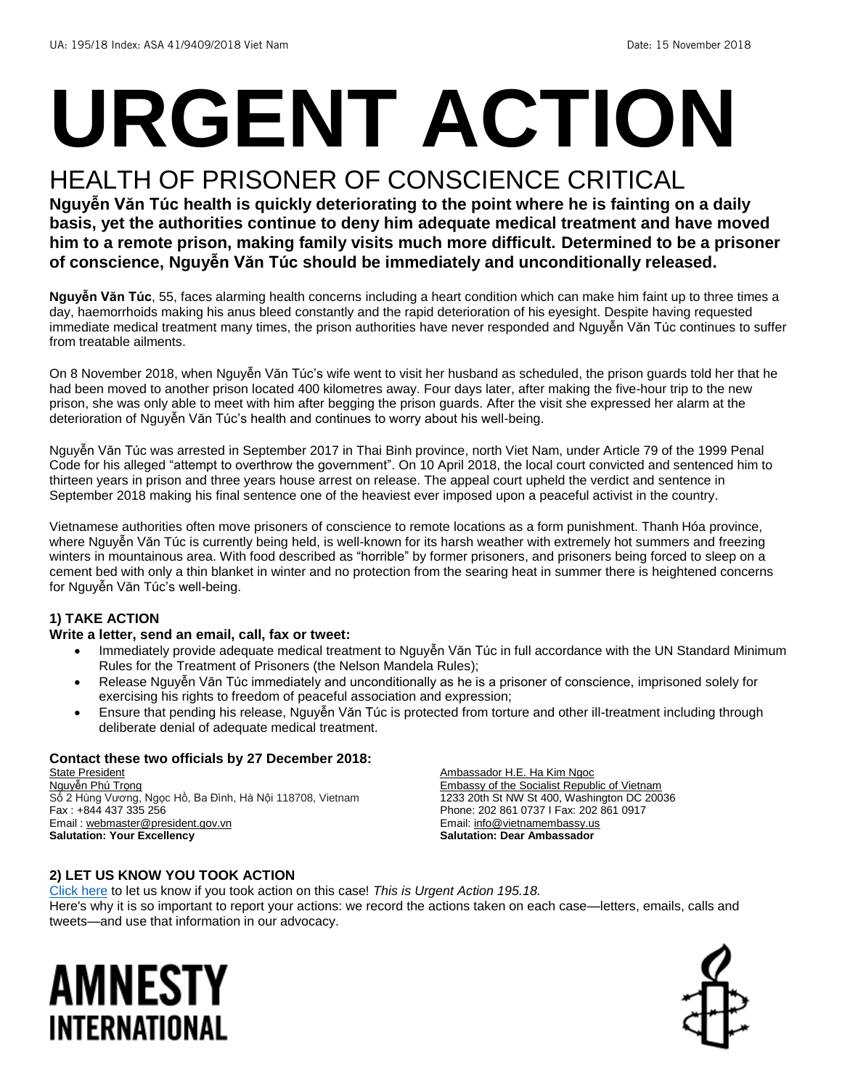# **URGENT ACTION**

## HEALTH OF PRISONER OF CONSCIENCE CRITICAL

**Nguyễn Văn Túc health is quickly deteriorating to the point where he is fainting on a daily basis, yet the authorities continue to deny him adequate medical treatment and have moved him to a remote prison, making family visits much more difficult**. **Determined to be a prisoner of conscience, Nguyễn Văn Túc should be immediately and unconditionally released.**

**Nguyễn Văn Túc**, 55, faces alarming health concerns including a heart condition which can make him faint up to three times a day, haemorrhoids making his anus bleed constantly and the rapid deterioration of his eyesight. Despite having requested immediate medical treatment many times, the prison authorities have never responded and Nguyễn Văn Túc continues to suffer from treatable ailments.

On 8 November 2018, when Nguyễn Văn Túc's wife went to visit her husband as scheduled, the prison guards told her that he had been moved to another prison located 400 kilometres away. Four days later, after making the five-hour trip to the new prison, she was only able to meet with him after begging the prison guards. After the visit she expressed her alarm at the deterioration of Nguyễn Văn Túc's health and continues to worry about his well-being.

Nguyễn Văn Túc was arrested in September 2017 in Thai Binh province, north Viet Nam, under Article 79 of the 1999 Penal Code for his alleged "attempt to overthrow the government". On 10 April 2018, the local court convicted and sentenced him to thirteen years in prison and three years house arrest on release. The appeal court upheld the verdict and sentence in September 2018 making his final sentence one of the heaviest ever imposed upon a peaceful activist in the country.

Vietnamese authorities often move prisoners of conscience to remote locations as a form punishment. Thanh Hóa province, where Nguyễn Văn Túc is currently being held, is well-known for its harsh weather with extremely hot summers and freezing winters in mountainous area. With food described as "horrible" by former prisoners, and prisoners being forced to sleep on a cement bed with only a thin blanket in winter and no protection from the searing heat in summer there is heightened concerns for Nguyễn Văn Túc's well-being.

#### **1) TAKE ACTION**

#### **Write a letter, send an email, call, fax or tweet:**

- Immediately provide adequate medical treatment to Nguyễn Văn Túc in full accordance with the UN Standard Minimum Rules for the Treatment of Prisoners (the Nelson Mandela Rules);
- Release Nguyễn Văn Túc immediately and unconditionally as he is a prisoner of conscience, imprisoned solely for exercising his rights to freedom of peaceful association and expression;
- Ensure that pending his release, Nguyễn Văn Túc is protected from torture and other ill-treatment including through deliberate denial of adequate medical treatment.

#### **Contact these two officials by 27 December 2018:**

State President Nguyễn Phú Trọng Số 2 Hùng Vương, Ngọc Hồ, Ba Đình, Hà Nội 118708, Vietnam Fax : +844 437 335 256 Email : [webmaster@president.gov.vn](mailto:webmaster@president.gov.vn) **Salutation: Your Excellency**

Ambassador H.E. Ha Kim Ngoc Embassy of the Socialist Republic of Vietnam 1233 20th St NW St 400, Washington DC 20036 Phone: 202 861 0737 I Fax: 202 861 0917 Email[: info@vietnamembassy.us](mailto:info@vietnamembassy.us) **Salutation: Dear Ambassador**

#### **2) LET US KNOW YOU TOOK ACTION**

[Click here](https://www.amnestyusa.org/report-urgent-actions/) to let us know if you took action on this case! *This is Urgent Action 195.18.* Here's why it is so important to report your actions: we record the actions taken on each case—letters, emails, calls and tweets—and use that information in our advocacy.